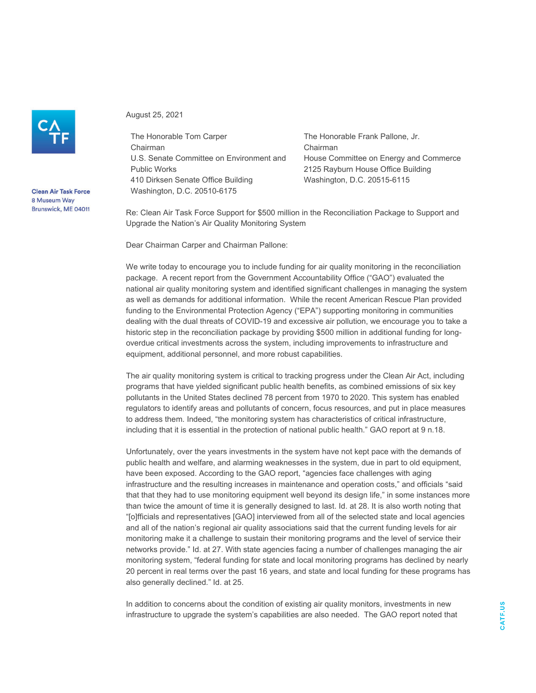

**Clean Air Task Force** 8 Museum Way Brunswick, ME 04011 August 25, 2021

The Honorable Tom Carper Chairman U.S. Senate Committee on Environment and Public Works 410 Dirksen Senate Office Building Washington, D.C. 20510-6175

The Honorable Frank Pallone, Jr. Chairman House Committee on Energy and Commerce 2125 Rayburn House Office Building Washington, D.C. 20515-6115

Re: Clean Air Task Force Support for \$500 million in the Reconciliation Package to Support and Upgrade the Nation's Air Quality Monitoring System

Dear Chairman Carper and Chairman Pallone:

We write today to encourage you to include funding for air quality monitoring in the reconciliation package. A recent report from the Government Accountability Office ("GAO") evaluated the national air quality monitoring system and identified significant challenges in managing the system as well as demands for additional information. While the recent American Rescue Plan provided funding to the Environmental Protection Agency ("EPA") supporting monitoring in communities dealing with the dual threats of COVID-19 and excessive air pollution, we encourage you to take a historic step in the reconciliation package by providing \$500 million in additional funding for longoverdue critical investments across the system, including improvements to infrastructure and equipment, additional personnel, and more robust capabilities.

The air quality monitoring system is critical to tracking progress under the Clean Air Act, including programs that have yielded significant public health benefits, as combined emissions of six key pollutants in the United States declined 78 percent from 1970 to 2020. This system has enabled regulators to identify areas and pollutants of concern, focus resources, and put in place measures to address them. Indeed, "the monitoring system has characteristics of critical infrastructure, including that it is essential in the protection of national public health." GAO report at 9 n.18.

Unfortunately, over the years investments in the system have not kept pace with the demands of public health and welfare, and alarming weaknesses in the system, due in part to old equipment, have been exposed. According to the GAO report, "agencies face challenges with aging infrastructure and the resulting increases in maintenance and operation costs," and officials "said that that they had to use monitoring equipment well beyond its design life," in some instances more than twice the amount of time it is generally designed to last. Id. at 28. It is also worth noting that "[o]fficials and representatives [GAO] interviewed from all of the selected state and local agencies and all of the nation's regional air quality associations said that the current funding levels for air monitoring make it a challenge to sustain their monitoring programs and the level of service their networks provide." Id. at 27. With state agencies facing a number of challenges managing the air monitoring system, "federal funding for state and local monitoring programs has declined by nearly 20 percent in real terms over the past 16 years, and state and local funding for these programs has also generally declined." Id. at 25.

In addition to concerns about the condition of existing air quality monitors, investments in new infrastructure to upgrade the system's capabilities are also needed. The GAO report noted that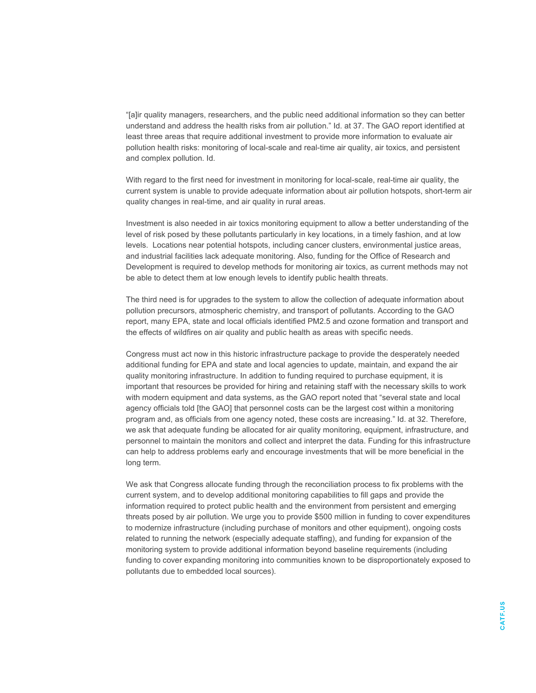"[a]ir quality managers, researchers, and the public need additional information so they can better understand and address the health risks from air pollution." Id. at 37. The GAO report identified at least three areas that require additional investment to provide more information to evaluate air pollution health risks: monitoring of local-scale and real-time air quality, air toxics, and persistent and complex pollution. Id.

With regard to the first need for investment in monitoring for local-scale, real-time air quality, the current system is unable to provide adequate information about air pollution hotspots, short-term air quality changes in real-time, and air quality in rural areas.

Investment is also needed in air toxics monitoring equipment to allow a better understanding of the level of risk posed by these pollutants particularly in key locations, in a timely fashion, and at low levels. Locations near potential hotspots, including cancer clusters, environmental justice areas, and industrial facilities lack adequate monitoring. Also, funding for the Office of Research and Development is required to develop methods for monitoring air toxics, as current methods may not be able to detect them at low enough levels to identify public health threats.

The third need is for upgrades to the system to allow the collection of adequate information about pollution precursors, atmospheric chemistry, and transport of pollutants. According to the GAO report, many EPA, state and local officials identified PM2.5 and ozone formation and transport and the effects of wildfires on air quality and public health as areas with specific needs.

Congress must act now in this historic infrastructure package to provide the desperately needed additional funding for EPA and state and local agencies to update, maintain, and expand the air quality monitoring infrastructure. In addition to funding required to purchase equipment, it is important that resources be provided for hiring and retaining staff with the necessary skills to work with modern equipment and data systems, as the GAO report noted that "several state and local agency officials told [the GAO] that personnel costs can be the largest cost within a monitoring program and, as officials from one agency noted, these costs are increasing." Id. at 32. Therefore, we ask that adequate funding be allocated for air quality monitoring, equipment, infrastructure, and personnel to maintain the monitors and collect and interpret the data. Funding for this infrastructure can help to address problems early and encourage investments that will be more beneficial in the long term.

We ask that Congress allocate funding through the reconciliation process to fix problems with the current system, and to develop additional monitoring capabilities to fill gaps and provide the information required to protect public health and the environment from persistent and emerging threats posed by air pollution. We urge you to provide \$500 million in funding to cover expenditures to modernize infrastructure (including purchase of monitors and other equipment), ongoing costs related to running the network (especially adequate staffing), and funding for expansion of the monitoring system to provide additional information beyond baseline requirements (including funding to cover expanding monitoring into communities known to be disproportionately exposed to pollutants due to embedded local sources).